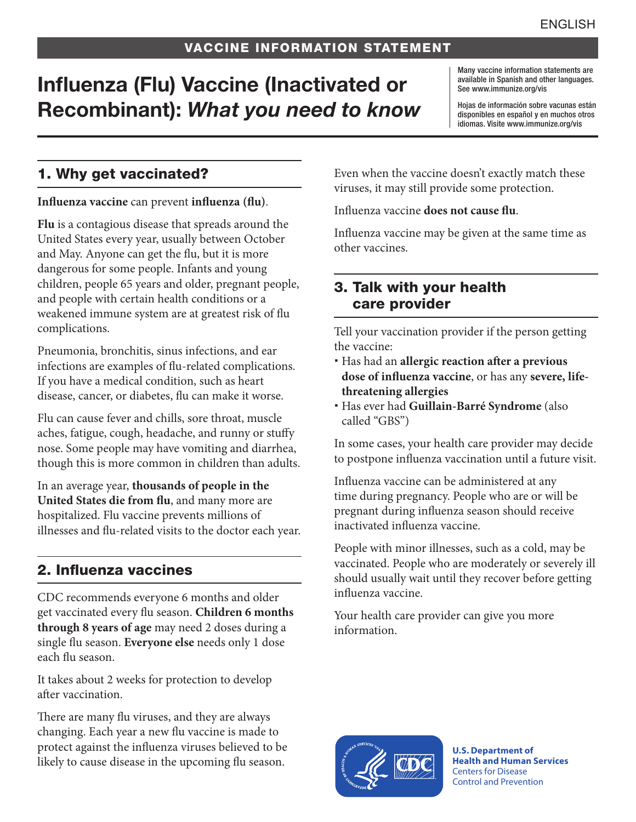# Influenza (Flu) Vaccine (Inactivated or Recombinant): *What you need to know*

Many vaccine information statements are available in Spanish and other languages. See [www.immunize.org/vis](http://www.immunize.org/vis)

Hojas de información sobre vacunas están disponibles en español y en muchos otros idiomas. Visite [www.immunize.org/vis](http://www.immunize.org/vis)

### 1. Why get vaccinated?

#### **Influenza vaccine** can prevent **influenza (flu)**.

**Flu** is a contagious disease that spreads around the United States every year, usually between October and May. Anyone can get the flu, but it is more dangerous for some people. Infants and young children, people 65 years and older, pregnant people, and people with certain health conditions or a weakened immune system are at greatest risk of flu complications.

Pneumonia, bronchitis, sinus infections, and ear infections are examples of flu-related complications. If you have a medical condition, such as heart disease, cancer, or diabetes, flu can make it worse.

Flu can cause fever and chills, sore throat, muscle aches, fatigue, cough, headache, and runny or stuffy nose. Some people may have vomiting and diarrhea, though this is more common in children than adults.

In an average year, **thousands of people in the United States die from flu**, and many more are hospitalized. Flu vaccine prevents millions of illnesses and flu-related visits to the doctor each year.

#### 2. Influenza vaccines

CDC recommends everyone 6 months and older get vaccinated every flu season. **Children 6 months through 8 years of age** may need 2 doses during a single flu season. **Everyone else** needs only 1 dose each flu season.

It takes about 2 weeks for protection to develop after vaccination.

There are many flu viruses, and they are always changing. Each year a new flu vaccine is made to protect against the influenza viruses believed to be likely to cause disease in the upcoming flu season.

Even when the vaccine doesn't exactly match these viruses, it may still provide some protection.

Influenza vaccine **does not cause flu**.

Influenza vaccine may be given at the same time as other vaccines.

#### 3. Talk with your health care provider

Tell your vaccination provider if the person getting the vaccine:

- Has had an **allergic reaction after a previous dose of influenza vaccine**, or has any **severe, lifethreatening allergies**
- Has ever had **Guillain-Barré Syndrome** (also called "GBS")

In some cases, your health care provider may decide to postpone influenza vaccination until a future visit.

Influenza vaccine can be administered at any time during pregnancy. People who are or will be pregnant during influenza season should receive inactivated influenza vaccine.

People with minor illnesses, such as a cold, may be vaccinated. People who are moderately or severely ill should usually wait until they recover before getting influenza vaccine.

Your health care provider can give you more information.



**U.S. Department of Health and Human Services**  Centers for Disease Control and Prevention